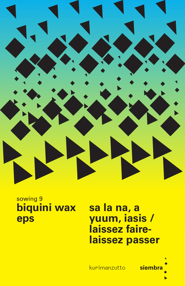

## sowing 9 biquini wax eps

sa la na, a yuum, iasis / laissez fairelaissez passer

kurimanzutto

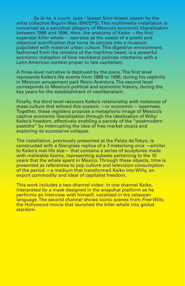*Sa la na, a yuum, iasis / laissez faire-laissez passer* by the artist collective Biquini Wax (BW/EPS). This multimedia installation is conceived as a parodical allegory of Mexico's economic liberalization between 1986 and 1996. Here, the anatomy of Keiko —the first superstar killer whale— operates as the vessel of a poetic and objectual scenification that turns its carcass into a museum populated with material urban culture. This digestive environment, fashioned from the remains of the maritime beast, is a powerful economic metaphor of how neoliberal policies intertwine with a Latin American context proper to late capitalism.

A three-level narrative is deployed by the piece. The first level represents Keiko's life events from 1986 to 1996, during his captivity in Mexican amusement park Reino Aventura. The second level corresponds to Mexico's political and economic history, during the key years for the establishment of neoliberalism.

Finally, the third level recovers Keiko's relationship with instances of mass culture that echoed this oceanic —or economic— openness. Together, these registers propose a metaphoric image of Mexico's captive economic liberalization through the idealization of Willy/ Keiko's freedom, effectively enabling a parody of the "postmodern pastiche" by interrupting the idea of free market utopia and exploring its successive collapse.

The installation, previously presented at the Palais de Tokyo, is constructed with a fiberglass replica of a 7-meterlong orca —similar to Keiko's real-life size— that contains a series of sculptures made with malleable foamy, representing subsets pertaining to the 10 years that the whale spent in Mexico. Through these objects, time is presented as references to pop culture and television consumption of the period —a medium that transformed Keiko into Willy, an export commodity and ideal of capitalist freedom.

This work includes a two-channel video: in one channel Keiko, interpreted by a mask designed in the snapchat platform as he performs an interview with himself, vocalized in the cetacean language. The second channel shows iconic scenes from *Free Willy*, the Hollywood movie that launched the killer whale into global stardom.